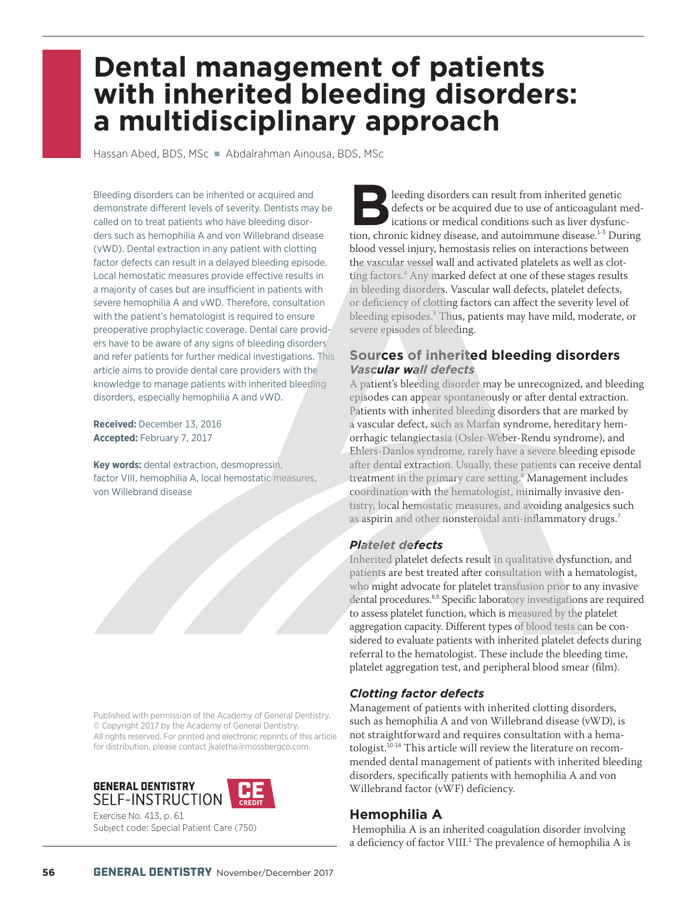# **Dental management of patients with inherited bleeding disorders: a multidisciplinary approach**

Hassan Abed, BDS, MSc · Abdalrahman Ainousa, BDS, MSc

Bleeding disorders can be inherited or acquired and demonstrate different levels of severity. Dentists may be called on to treat patients who have bleeding disorders such as hemophilia A and von Willebrand disease (vWD). Dental extraction in any patient with clotting factor defects can result in a delayed bleeding episode. Local hemostatic measures provide effective results in a majority of cases but are insufficient in patients with severe hemophilia A and vWD. Therefore, consultation with the patient's hematologist is required to ensure preoperative prophylactic coverage. Dental care providers have to be aware of any signs of bleeding disorders and refer patients for further medical investigations. This article aims to provide dental care providers with the knowledge to manage patients with inherited bleeding disorders, especially hemophilia A and vWD.

**Received:** December 13, 2016 **Accepted:** February 7, 2017

**Key words:** dental extraction, desmopressin, factor VIII, hemophilia A, local hemostatic measures, von Willebrand disease

Published with permission of the Academy of General Dentistry. © Copyright 2017 by the Academy of General Dentistry. All rights reserved. For printed and electronic reprints of this article for distribution, please contact jkaletha@mossbergco.com.



Exercise No. 413, p. 61 Subject code: Special Patient Care (750)

**Bleeding disorders can result from inherited genetic<br>defects or be acquired due to use of anticoagulant n<br>ications or medical conditions such as liver dysfunc<br>tion, chronic kidney disease, and autoimmune disease.<sup>1-3</sup> Due** defects or be acquired due to use of anticoagulant medications or medical conditions such as liver dysfunction, chronic kidney disease, and autoimmune disease.<sup>1-3</sup> During blood vessel injury, hemostasis relies on interactions between the vascular vessel wall and activated platelets as well as clotting factors.<sup>4</sup> Any marked defect at one of these stages results in bleeding disorders. Vascular wall defects, platelet defects, or deficiency of clotting factors can affect the severity level of bleeding episodes.<sup>5</sup> Thu**s, patients may have mild, moderate, or** severe episodes of bleeding.

## **Sources of inherited bleeding disorders** *Vascular wall defects*

A patient's bleeding disorder may be unrecognized, and bleeding episodes can appear spontaneously or after dental extraction. Patients with inherited bleeding disorders that are marked by a vascular defect, such as Marfan syndrome, hereditary hemorrhagic telangiectasia (Osler-Weber-Rendu syndrome), and Ehlers-Danlos syndrome, rarely have a severe bleeding episode after dental extraction. Usually, these patients can receive dental treatment in the primary care setting.<sup>6</sup> Management includes coordination with the hematologist, minimally invasive dentistry, local hemostatic measures, and avoiding analgesics such as aspirin and other nonsteroidal anti-inflammatory drugs.<sup>7</sup>

#### *Platelet defects*

Inherited platelet defects result in qualitative dysfunction, and patients are best treated after consultation with a hematologist, who might advocate for platelet transfusion prior to any invasive dental procedures.<sup>8,9</sup> Specific laboratory investigations are required to assess platelet function, which is measured by the platelet aggregation capacity. Different types of blood tests can be considered to evaluate patients with inherited platelet defects during referral to the hematologist. These include the bleeding time, platelet aggregation test, and peripheral blood smear (film).

# *Clotting factor defects*

Management of patients with inherited clotting disorders, such as hemophilia A and von Willebrand disease (vWD), is not straightforward and requires consultation with a hematologist.10-14 This article will review the literature on recommended dental management of patients with inherited bleeding disorders, specifically patients with hemophilia A and von Willebrand factor (vWF) deficiency.

# **Hemophilia A**

 Hemophilia A is an inherited coagulation disorder involving a deficiency of factor VIII.<sup>1</sup> The prevalence of hemophilia A is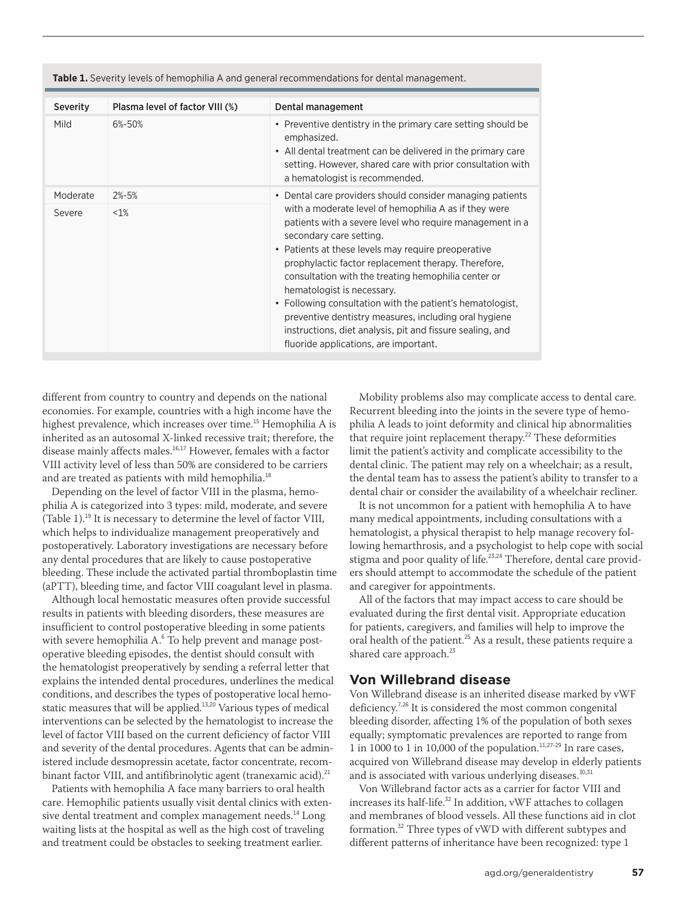| <b>Severity</b> | Plasma level of factor VIII (%) | Dental management                                                                                                                                                                                                                                                                                                                                                                                                                                                                                                                                                                                                                        |
|-----------------|---------------------------------|------------------------------------------------------------------------------------------------------------------------------------------------------------------------------------------------------------------------------------------------------------------------------------------------------------------------------------------------------------------------------------------------------------------------------------------------------------------------------------------------------------------------------------------------------------------------------------------------------------------------------------------|
| Mild            | 6%-50%                          | • Preventive dentistry in the primary care setting should be<br>emphasized.<br>• All dental treatment can be delivered in the primary care<br>setting. However, shared care with prior consultation with<br>a hematologist is recommended.                                                                                                                                                                                                                                                                                                                                                                                               |
| Moderate        | $2% - 5%$                       | • Dental care providers should consider managing patients<br>with a moderate level of hemophilia A as if they were<br>patients with a severe level who require management in a<br>secondary care setting.<br>• Patients at these levels may require preoperative<br>prophylactic factor replacement therapy. Therefore,<br>consultation with the treating hemophilia center or<br>hematologist is necessary.<br>• Following consultation with the patient's hematologist,<br>preventive dentistry measures, including oral hygiene<br>instructions, diet analysis, pit and fissure sealing, and<br>fluoride applications, are important. |
| Severe          | $1\%$                           |                                                                                                                                                                                                                                                                                                                                                                                                                                                                                                                                                                                                                                          |

**Table 1.** Severity levels of hemophilia A and general recommendations for dental management.

different from country to country and depends on the national economies. For example, countries with a high income have the highest prevalence, which increases over time.<sup>15</sup> Hemophilia A is inherited as an autosomal X-linked recessive trait; therefore, the disease mainly affects males.16,17 However, females with a factor VIII activity level of less than 50% are considered to be carriers and are treated as patients with mild hemophilia.<sup>18</sup>

Depending on the level of factor VIII in the plasma, hemophilia A is categorized into 3 types: mild, moderate, and severe (Table 1).<sup>19</sup> It is necessary to determine the level of factor VIII, which helps to individualize management preoperatively and postoperatively. Laboratory investigations are necessary before any dental procedures that are likely to cause postoperative bleeding. These include the activated partial thromboplastin time (aPTT), bleeding time, and factor VIII coagulant level in plasma.

Although local hemostatic measures often provide successful results in patients with bleeding disorders, these measures are insufficient to control postoperative bleeding in some patients with severe hemophilia A.<sup>6</sup> To help prevent and manage postoperative bleeding episodes, the dentist should consult with the hematologist preoperatively by sending a referral letter that explains the intended dental procedures, underlines the medical conditions, and describes the types of postoperative local hemostatic measures that will be applied.<sup>13,20</sup> Various types of medical interventions can be selected by the hematologist to increase the level of factor VIII based on the current deficiency of factor VIII and severity of the dental procedures. Agents that can be administered include desmopressin acetate, factor concentrate, recombinant factor VIII, and antifibrinolytic agent (tranexamic acid).<sup>21</sup>

Patients with hemophilia A face many barriers to oral health care. Hemophilic patients usually visit dental clinics with extensive dental treatment and complex management needs.<sup>14</sup> Long waiting lists at the hospital as well as the high cost of traveling and treatment could be obstacles to seeking treatment earlier.

Mobility problems also may complicate access to dental care. Recurrent bleeding into the joints in the severe type of hemophilia A leads to joint deformity and clinical hip abnormalities that require joint replacement therapy.<sup>22</sup> These deformities limit the patient's activity and complicate accessibility to the dental clinic. The patient may rely on a wheelchair; as a result, the dental team has to assess the patient's ability to transfer to a dental chair or consider the availability of a wheelchair recliner.

It is not uncommon for a patient with hemophilia A to have many medical appointments, including consultations with a hematologist, a physical therapist to help manage recovery following hemarthrosis, and a psychologist to help cope with social stigma and poor quality of life.<sup>23,24</sup> Therefore, dental care providers should attempt to accommodate the schedule of the patient and caregiver for appointments.

All of the factors that may impact access to care should be evaluated during the first dental visit. Appropriate education for patients, caregivers, and families will help to improve the oral health of the patient.<sup>25</sup> As a result, these patients require a shared care approach.<sup>23</sup>

#### **Von Willebrand disease**

Von Willebrand disease is an inherited disease marked by vWF deficiency.<sup>7,26</sup> It is considered the most common congenital bleeding disorder, affecting 1% of the population of both sexes equally; symptomatic prevalences are reported to range from 1 in 1000 to 1 in 10,000 of the population.<sup>11,27-29</sup> In rare cases, acquired von Willebrand disease may develop in elderly patients and is associated with various underlying diseases.<sup>30,31</sup>

Von Willebrand factor acts as a carrier for factor VIII and increases its half-life.<sup>32</sup> In addition, vWF attaches to collagen and membranes of blood vessels. All these functions aid in clot formation.<sup>32</sup> Three types of vWD with different subtypes and different patterns of inheritance have been recognized: type 1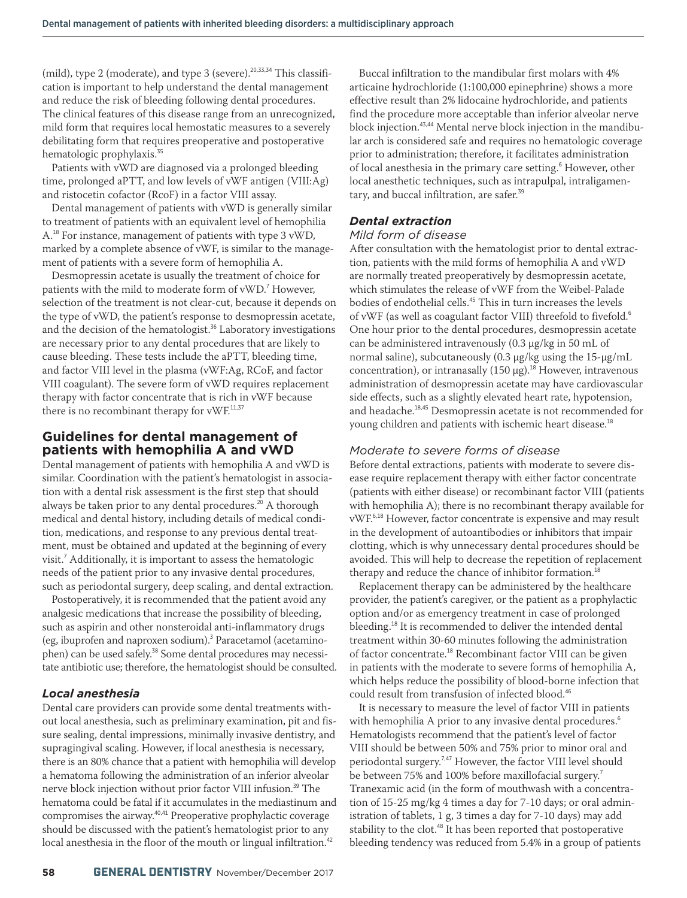(mild), type 2 (moderate), and type 3 (severe). $20,33,34$  This classification is important to help understand the dental management and reduce the risk of bleeding following dental procedures. The clinical features of this disease range from an unrecognized, mild form that requires local hemostatic measures to a severely debilitating form that requires preoperative and postoperative hematologic prophylaxis.<sup>35</sup>

Patients with vWD are diagnosed via a prolonged bleeding time, prolonged aPTT, and low levels of vWF antigen (VIII:Ag) and ristocetin cofactor (RcoF) in a factor VIII assay.

Dental management of patients with vWD is generally similar to treatment of patients with an equivalent level of hemophilia A.<sup>18</sup> For instance, management of patients with type 3 vWD, marked by a complete absence of vWF, is similar to the management of patients with a severe form of hemophilia A.

Desmopressin acetate is usually the treatment of choice for patients with the mild to moderate form of vWD.<sup>7</sup> However, selection of the treatment is not clear-cut, because it depends on the type of vWD, the patient's response to desmopressin acetate, and the decision of the hematologist.<sup>36</sup> Laboratory investigations are necessary prior to any dental procedures that are likely to cause bleeding. These tests include the aPTT, bleeding time, and factor VIII level in the plasma (vWF:Ag, RCoF, and factor VIII coagulant). The severe form of vWD requires replacement therapy with factor concentrate that is rich in vWF because there is no recombinant therapy for vWF.<sup>11,37</sup>

### **Guidelines for dental management of patients with hemophilia A and vWD**

Dental management of patients with hemophilia A and vWD is similar. Coordination with the patient's hematologist in association with a dental risk assessment is the first step that should always be taken prior to any dental procedures.<sup>20</sup> A thorough medical and dental history, including details of medical condition, medications, and response to any previous dental treatment, must be obtained and updated at the beginning of every visit.<sup>7</sup> Additionally, it is important to assess the hematologic needs of the patient prior to any invasive dental procedures, such as periodontal surgery, deep scaling, and dental extraction.

Postoperatively, it is recommended that the patient avoid any analgesic medications that increase the possibility of bleeding, such as aspirin and other nonsteroidal anti-inflammatory drugs (eg, ibuprofen and naproxen sodium).<sup>3</sup> Paracetamol (acetaminophen) can be used safely.<sup>38</sup> Some dental procedures may necessitate antibiotic use; therefore, the hematologist should be consulted.

#### *Local anesthesia*

Dental care providers can provide some dental treatments without local anesthesia, such as preliminary examination, pit and fissure sealing, dental impressions, minimally invasive dentistry, and supragingival scaling. However, if local anesthesia is necessary, there is an 80% chance that a patient with hemophilia will develop a hematoma following the administration of an inferior alveolar nerve block injection without prior factor VIII infusion.<sup>39</sup> The hematoma could be fatal if it accumulates in the mediastinum and compromises the airway.40,41 Preoperative prophylactic coverage should be discussed with the patient's hematologist prior to any local anesthesia in the floor of the mouth or lingual infiltration.<sup>42</sup>

Buccal infiltration to the mandibular first molars with 4% articaine hydrochloride (1:100,000 epinephrine) shows a more effective result than 2% lidocaine hydrochloride, and patients find the procedure more acceptable than inferior alveolar nerve block injection.43,44 Mental nerve block injection in the mandibular arch is considered safe and requires no hematologic coverage prior to administration; therefore, it facilitates administration of local anesthesia in the primary care setting.<sup>6</sup> However, other local anesthetic techniques, such as intrapulpal, intraligamentary, and buccal infiltration, are safer.<sup>39</sup>

#### *Dental extraction*

#### *Mild form of disease*

After consultation with the hematologist prior to dental extraction, patients with the mild forms of hemophilia A and vWD are normally treated preoperatively by desmopressin acetate, which stimulates the release of vWF from the Weibel-Palade bodies of endothelial cells.  $^{45}$  This in turn increases the levels of vWF (as well as coagulant factor VIII) threefold to fivefold.<sup>6</sup> One hour prior to the dental procedures, desmopressin acetate can be administered intravenously (0.3 μg/kg in 50 mL of normal saline), subcutaneously (0.3 μg/kg using the 15-μg/mL concentration), or intranasally  $(150 \mu g)$ .<sup>18</sup> However, intravenous administration of desmopressin acetate may have cardiovascular side effects, such as a slightly elevated heart rate, hypotension, and headache.<sup>18,45</sup> Desmopressin acetate is not recommended for young children and patients with ischemic heart disease.<sup>18</sup>

#### *Moderate to severe forms of disease*

Before dental extractions, patients with moderate to severe disease require replacement therapy with either factor concentrate (patients with either disease) or recombinant factor VIII (patients with hemophilia A); there is no recombinant therapy available for vWF.6,18 However, factor concentrate is expensive and may result in the development of autoantibodies or inhibitors that impair clotting, which is why unnecessary dental procedures should be avoided. This will help to decrease the repetition of replacement therapy and reduce the chance of inhibitor formation.<sup>18</sup>

Replacement therapy can be administered by the healthcare provider, the patient's caregiver, or the patient as a prophylactic option and/or as emergency treatment in case of prolonged bleeding.<sup>18</sup> It is recommended to deliver the intended dental treatment within 30-60 minutes following the administration of factor concentrate.<sup>18</sup> Recombinant factor VIII can be given in patients with the moderate to severe forms of hemophilia A, which helps reduce the possibility of blood-borne infection that could result from transfusion of infected blood.<sup>46</sup>

It is necessary to measure the level of factor VIII in patients with hemophilia A prior to any invasive dental procedures.<sup>6</sup> Hematologists recommend that the patient's level of factor VIII should be between 50% and 75% prior to minor oral and periodontal surgery.<sup>7,47</sup> However, the factor VIII level should be between 75% and 100% before maxillofacial surgery.<sup>7</sup> Tranexamic acid (in the form of mouthwash with a concentration of 15-25 mg/kg 4 times a day for 7-10 days; or oral administration of tablets, 1 g, 3 times a day for 7-10 days) may add stability to the clot.<sup>48</sup> It has been reported that postoperative bleeding tendency was reduced from 5.4% in a group of patients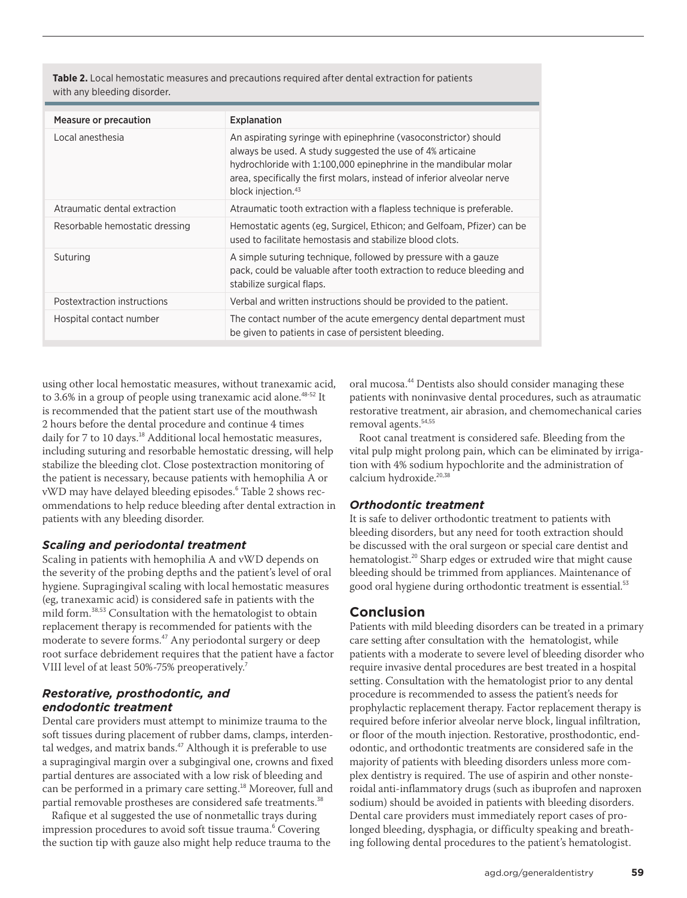**Table 2.** Local hemostatic measures and precautions required after dental extraction for patients with any bleeding disorder.

| <b>Measure or precaution</b>   | Explanation                                                                                                                                                                                                                                                                                                   |  |
|--------------------------------|---------------------------------------------------------------------------------------------------------------------------------------------------------------------------------------------------------------------------------------------------------------------------------------------------------------|--|
| Local anesthesia               | An aspirating syringe with epinephrine (vasoconstrictor) should<br>always be used. A study suggested the use of 4% articaine<br>hydrochloride with 1:100,000 epinephrine in the mandibular molar<br>area, specifically the first molars, instead of inferior alveolar nerve<br>block injection. <sup>43</sup> |  |
| Atraumatic dental extraction   | Atraumatic tooth extraction with a flapless technique is preferable.                                                                                                                                                                                                                                          |  |
| Resorbable hemostatic dressing | Hemostatic agents (eg, Surgicel, Ethicon; and Gelfoam, Pfizer) can be<br>used to facilitate hemostasis and stabilize blood clots.                                                                                                                                                                             |  |
| Suturing                       | A simple suturing technique, followed by pressure with a gauze<br>pack, could be valuable after tooth extraction to reduce bleeding and<br>stabilize surgical flaps.                                                                                                                                          |  |
| Postextraction instructions    | Verbal and written instructions should be provided to the patient.                                                                                                                                                                                                                                            |  |
| Hospital contact number        | The contact number of the acute emergency dental department must<br>be given to patients in case of persistent bleeding.                                                                                                                                                                                      |  |

using other local hemostatic measures, without tranexamic acid, to 3.6% in a group of people using tranexamic acid alone.<sup>48-52</sup> It is recommended that the patient start use of the mouthwash 2 hours before the dental procedure and continue 4 times daily for 7 to 10 days.<sup>18</sup> Additional local hemostatic measures, including suturing and resorbable hemostatic dressing, will help stabilize the bleeding clot. Close postextraction monitoring of the patient is necessary, because patients with hemophilia A or vWD may have delayed bleeding episodes.<sup>6</sup> Table 2 shows recommendations to help reduce bleeding after dental extraction in patients with any bleeding disorder.

#### *Scaling and periodontal treatment*

Scaling in patients with hemophilia A and vWD depends on the severity of the probing depths and the patient's level of oral hygiene. Supragingival scaling with local hemostatic measures (eg, tranexamic acid) is considered safe in patients with the mild form.38,53 Consultation with the hematologist to obtain replacement therapy is recommended for patients with the moderate to severe forms.<sup>47</sup> Any periodontal surgery or deep root surface debridement requires that the patient have a factor VIII level of at least 50%-75% preoperatively.<sup>7</sup>

#### *Restorative, prosthodontic, and endodontic treatment*

Dental care providers must attempt to minimize trauma to the soft tissues during placement of rubber dams, clamps, interdental wedges, and matrix bands.<sup>47</sup> Although it is preferable to use a supragingival margin over a subgingival one, crowns and fixed partial dentures are associated with a low risk of bleeding and can be performed in a primary care setting.<sup>18</sup> Moreover, full and partial removable prostheses are considered safe treatments.<sup>38</sup>

Rafique et al suggested the use of nonmetallic trays during impression procedures to avoid soft tissue trauma.<sup>6</sup> Covering the suction tip with gauze also might help reduce trauma to the oral mucosa.<sup>44</sup> Dentists also should consider managing these patients with noninvasive dental procedures, such as atraumatic restorative treatment, air abrasion, and chemomechanical caries removal agents.<sup>54,55</sup>

Root canal treatment is considered safe. Bleeding from the vital pulp might prolong pain, which can be eliminated by irrigation with 4% sodium hypochlorite and the administration of calcium hydroxide.<sup>20,38</sup>

### *Orthodontic treatment*

It is safe to deliver orthodontic treatment to patients with bleeding disorders, but any need for tooth extraction should be discussed with the oral surgeon or special care dentist and hematologist.<sup>20</sup> Sharp edges or extruded wire that might cause bleeding should be trimmed from appliances. Maintenance of good oral hygiene during orthodontic treatment is essential.<sup>53</sup>

# **Conclusion**

Patients with mild bleeding disorders can be treated in a primary care setting after consultation with the hematologist, while patients with a moderate to severe level of bleeding disorder who require invasive dental procedures are best treated in a hospital setting. Consultation with the hematologist prior to any dental procedure is recommended to assess the patient's needs for prophylactic replacement therapy. Factor replacement therapy is required before inferior alveolar nerve block, lingual infiltration, or floor of the mouth injection. Restorative, prosthodontic, endodontic, and orthodontic treatments are considered safe in the majority of patients with bleeding disorders unless more complex dentistry is required. The use of aspirin and other nonsteroidal anti-inflammatory drugs (such as ibuprofen and naproxen sodium) should be avoided in patients with bleeding disorders. Dental care providers must immediately report cases of prolonged bleeding, dysphagia, or difficulty speaking and breathing following dental procedures to the patient's hematologist.